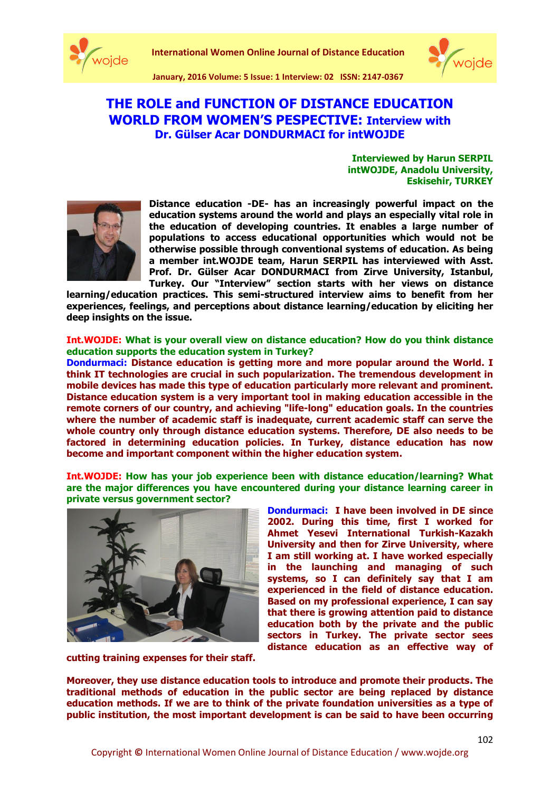



# **THE ROLE and FUNCTION OF DISTANCE EDUCATION WORLD FROM WOMEN'S PESPECTIVE: Interview with Dr. Gülser Acar DONDURMACI for intWOJDE**

**Interviewed by Harun SERPIL intWOJDE, Anadolu University, Eskisehir, TURKEY**



**Distance education -DE- has an increasingly powerful impact on the education systems around the world and plays an especially vital role in the education of developing countries. It enables a large number of populations to access educational opportunities which would not be otherwise possible through conventional systems of education. As being a member int.WOJDE team, Harun SERPIL has interviewed with Asst. Prof. Dr. Gülser Acar DONDURMACI from Zirve University, Istanbul, Turkey. Our "Interview" section starts with her views on distance** 

**learning/education practices. This semi-structured interview aims to benefit from her experiences, feelings, and perceptions about distance learning/education by eliciting her deep insights on the issue.** 

**Int.WOJDE: What is your overall view on distance education? How do you think distance education supports the education system in Turkey?**

**Dondurmaci: Distance education is getting more and more popular around the World. I think IT technologies are crucial in such popularization. The tremendous development in mobile devices has made this type of education particularly more relevant and prominent. Distance education system is a very important tool in making education accessible in the remote corners of our country, and achieving "life-long" education goals. In the countries where the number of academic staff is inadequate, current academic staff can serve the whole country only through distance education systems. Therefore, DE also needs to be factored in determining education policies. In Turkey, distance education has now become and important component within the higher education system.**

**Int.WOJDE: How has your job experience been with distance education/learning? What are the major differences you have encountered during your distance learning career in private versus government sector?**



**cutting training expenses for their staff.** 

**Dondurmaci: I have been involved in DE since 2002. During this time, first I worked for Ahmet Yesevi International Turkish-Kazakh University and then for Zirve University, where I am still working at. I have worked especially in the launching and managing of such systems, so I can definitely say that I am experienced in the field of distance education. Based on my professional experience, I can say that there is growing attention paid to distance education both by the private and the public sectors in Turkey. The private sector sees distance education as an effective way of** 

**Moreover, they use distance education tools to introduce and promote their products. The traditional methods of education in the public sector are being replaced by distance education methods. If we are to think of the private foundation universities as a type of public institution, the most important development is can be said to have been occurring**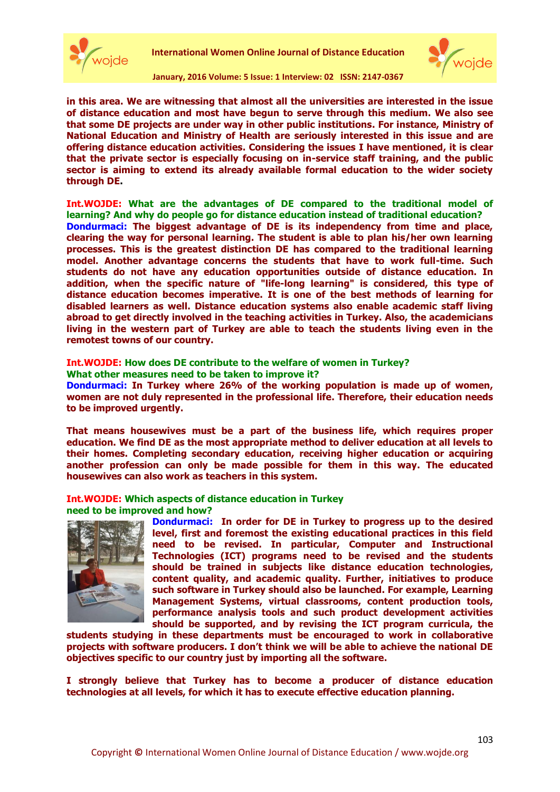



**in this area. We are witnessing that almost all the universities are interested in the issue of distance education and most have begun to serve through this medium. We also see that some DE projects are under way in other public institutions. For instance, Ministry of National Education and Ministry of Health are seriously interested in this issue and are offering distance education activities. Considering the issues I have mentioned, it is clear that the private sector is especially focusing on in-service staff training, and the public sector is aiming to extend its already available formal education to the wider society through DE.**

**Int.WOJDE: What are the advantages of DE compared to the traditional model of learning? And why do people go for distance education instead of traditional education? Dondurmaci: The biggest advantage of DE is its independency from time and place, clearing the way for personal learning. The student is able to plan his/her own learning processes. This is the greatest distinction DE has compared to the traditional learning model. Another advantage concerns the students that have to work full-time. Such students do not have any education opportunities outside of distance education. In addition, when the specific nature of "life-long learning" is considered, this type of distance education becomes imperative. It is one of the best methods of learning for disabled learners as well. Distance education systems also enable academic staff living abroad to get directly involved in the teaching activities in Turkey. Also, the academicians living in the western part of Turkey are able to teach the students living even in the remotest towns of our country.** 

**Int.WOJDE: How does DE contribute to the welfare of women in Turkey?** 

**What other measures need to be taken to improve it?** 

**Dondurmaci: In Turkey where 26% of the working population is made up of women, women are not duly represented in the professional life. Therefore, their education needs to be improved urgently.** 

**That means housewives must be a part of the business life, which requires proper education. We find DE as the most appropriate method to deliver education at all levels to their homes. Completing secondary education, receiving higher education or acquiring another profession can only be made possible for them in this way. The educated housewives can also work as teachers in this system.** 

**Int.WOJDE: Which aspects of distance education in Turkey need to be improved and how?** 



**Dondurmaci: In order for DE in Turkey to progress up to the desired level, first and foremost the existing educational practices in this field need to be revised. In particular, Computer and Instructional Technologies (ICT) programs need to be revised and the students should be trained in subjects like distance education technologies, content quality, and academic quality. Further, initiatives to produce such software in Turkey should also be launched. For example, Learning Management Systems, virtual classrooms, content production tools, performance analysis tools and such product development activities should be supported, and by revising the ICT program curricula, the** 

**students studying in these departments must be encouraged to work in collaborative projects with software producers. I don't think we will be able to achieve the national DE objectives specific to our country just by importing all the software.** 

**I strongly believe that Turkey has to become a producer of distance education technologies at all levels, for which it has to execute effective education planning.**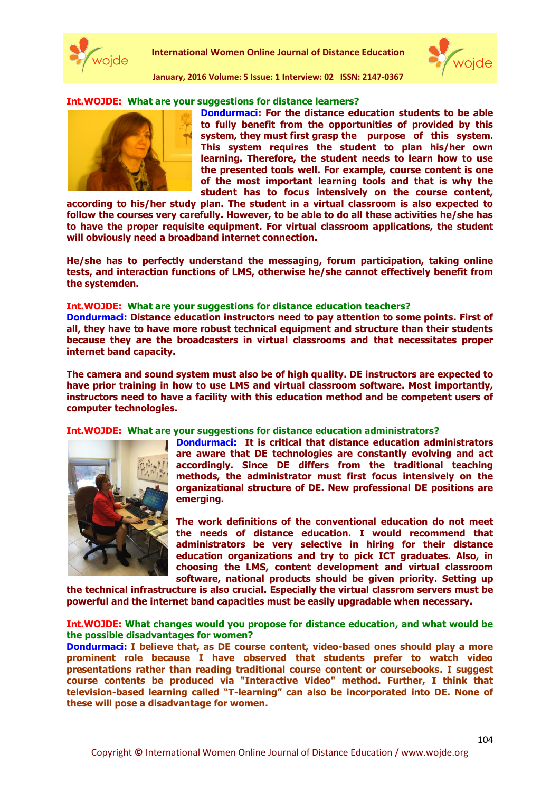

**International Women Online Journal of Distance Education**



**January, 2016 Volume: 5 Issue: 1 Interview: 02 ISSN: 2147-0367**

#### **Int.WOJDE: What are your suggestions for distance learners?**



**Dondurmaci: For the distance education students to be able to fully benefit from the opportunities of provided by this system, they must first grasp the purpose of this system. This system requires the student to plan his/her own learning. Therefore, the student needs to learn how to use the presented tools well. For example, course content is one of the most important learning tools and that is why the student has to focus intensively on the course content,** 

**according to his/her study plan. The student in a virtual classroom is also expected to follow the courses very carefully. However, to be able to do all these activities he/she has to have the proper requisite equipment. For virtual classroom applications, the student will obviously need a broadband internet connection.** 

**He/she has to perfectly understand the messaging, forum participation, taking online tests, and interaction functions of LMS, otherwise he/she cannot effectively benefit from the systemden.** 

#### **Int.WOJDE: What are your suggestions for distance education teachers?**

**Dondurmaci: Distance education instructors need to pay attention to some points. First of all, they have to have more robust technical equipment and structure than their students because they are the broadcasters in virtual classrooms and that necessitates proper internet band capacity.** 

**The camera and sound system must also be of high quality. DE instructors are expected to have prior training in how to use LMS and virtual classroom software. Most importantly, instructors need to have a facility with this education method and be competent users of computer technologies.** 

**Int.WOJDE: What are your suggestions for distance education administrators?**



**Dondurmaci: It is critical that distance education administrators are aware that DE technologies are constantly evolving and act accordingly. Since DE differs from the traditional teaching methods, the administrator must first focus intensively on the organizational structure of DE. New professional DE positions are emerging.** 

**The work definitions of the conventional education do not meet the needs of distance education. I would recommend that administrators be very selective in hiring for their distance education organizations and try to pick ICT graduates. Also, in choosing the LMS, content development and virtual classroom software, national products should be given priority. Setting up** 

**the technical infrastructure is also crucial. Especially the virtual classrom servers must be powerful and the internet band capacities must be easily upgradable when necessary.**

**Int.WOJDE: What changes would you propose for distance education, and what would be the possible disadvantages for women?**

**Dondurmaci: I believe that, as DE course content, video-based ones should play a more prominent role because I have observed that students prefer to watch video presentations rather than reading traditional course content or coursebooks. I suggest course contents be produced via "Interactive Video" method. Further, I think that television-based learning called "T-learning" can also be incorporated into DE. None of these will pose a disadvantage for women.**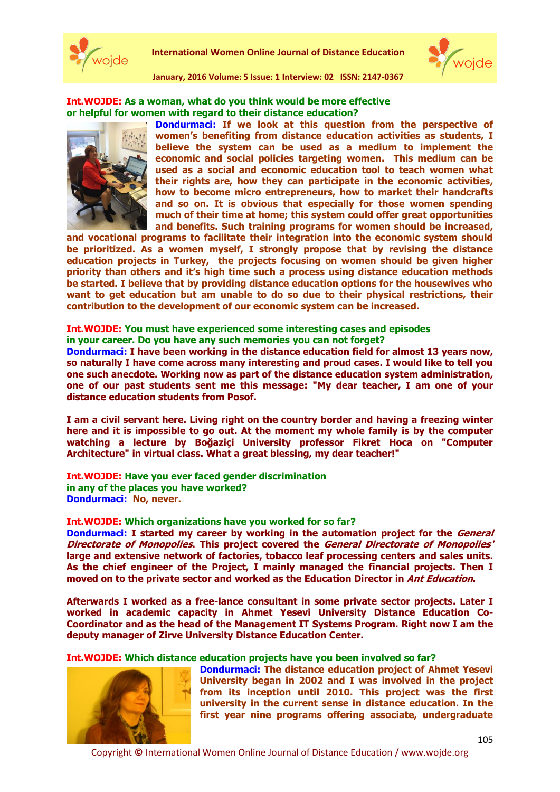



**Int.WOJDE: As a woman, what do you think would be more effective or helpful for women with regard to their distance education?**



**Dondurmaci: If we look at this question from the perspective of women's benefiting from distance education activities as students, I believe the system can be used as a medium to implement the economic and social policies targeting women. This medium can be used as a social and economic education tool to teach women what their rights are, how they can participate in the economic activities, how to become micro entrepreneurs, how to market their handcrafts and so on. It is obvious that especially for those women spending much of their time at home; this system could offer great opportunities and benefits. Such training programs for women should be increased,** 

**and vocational programs to facilitate their integration into the economic system should be prioritized. As a women myself, I strongly propose that by revising the distance education projects in Turkey, the projects focusing on women should be given higher priority than others and it's high time such a process using distance education methods be started. I believe that by providing distance education options for the housewives who want to get education but am unable to do so due to their physical restrictions, their contribution to the development of our economic system can be increased.** 

**Int.WOJDE: You must have experienced some interesting cases and episodes** 

**in your career. Do you have any such memories you can not forget?**

**Dondurmaci: I have been working in the distance education field for almost 13 years now, so naturally I have come across many interesting and proud cases. I would like to tell you one such anecdote. Working now as part of the distance education system administration, one of our past students sent me this message: "My dear teacher, I am one of your distance education students from Posof.** 

**I am a civil servant here. Living right on the country border and having a freezing winter here and it is impossible to go out. At the moment my whole family is by the computer watching a lecture by Boğaziçi University professor Fikret Hoca on "Computer Architecture" in virtual class. What a great blessing, my dear teacher!"** 

**Int.WOJDE: Have you ever faced gender discrimination in any of the places you have worked? Dondurmaci: No, never.** 

**Int.WOJDE: Which organizations have you worked for so far?**

**Dondurmaci: I started my career by working in the automation project for the** *General* **Directorate of Monopolies. This project covered the General Directorate of Monopolies' large and extensive network of factories, tobacco leaf processing centers and sales units. As the chief engineer of the Project, I mainly managed the financial projects. Then I moved on to the private sector and worked as the Education Director in Ant Education.** 

**Afterwards I worked as a free-lance consultant in some private sector projects. Later I worked in academic capacity in Ahmet Yesevi University Distance Education Co-Coordinator and as the head of the Management IT Systems Program. Right now I am the deputy manager of Zirve University Distance Education Center.** 

**Int.WOJDE: Which distance education projects have you been involved so far?**



**Dondurmaci: The distance education project of Ahmet Yesevi University began in 2002 and I was involved in the project from its inception until 2010. This project was the first university in the current sense in distance education. In the first year nine programs offering associate, undergraduate**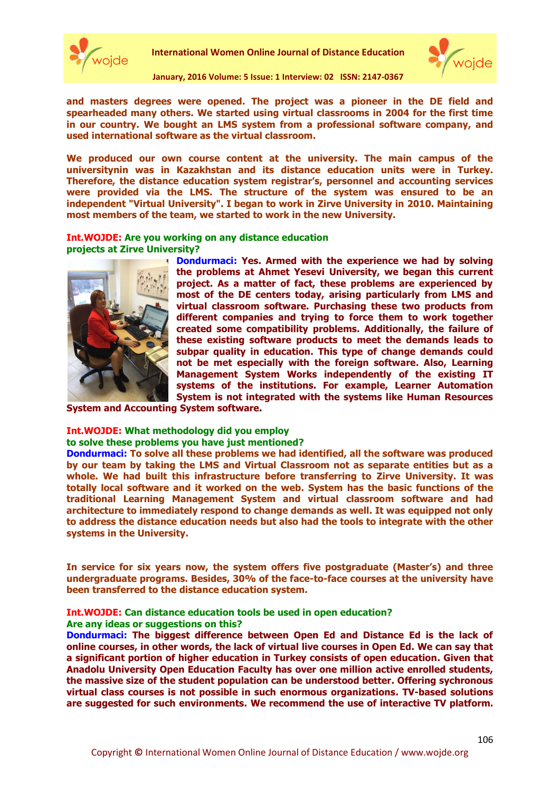



**and masters degrees were opened. The project was a pioneer in the DE field and spearheaded many others. We started using virtual classrooms in 2004 for the first time in our country. We bought an LMS system from a professional software company, and used international software as the virtual classroom.** 

**We produced our own course content at the university. The main campus of the universitynin was in Kazakhstan and its distance education units were in Turkey. Therefore, the distance education system registrar's, personnel and accounting services were provided via the LMS. The structure of the system was ensured to be an independent "Virtual University". I began to work in Zirve University in 2010. Maintaining most members of the team, we started to work in the new University.** 

**Int.WOJDE: Are you working on any distance education projects at Zirve University?**



**Dondurmaci: Yes. Armed with the experience we had by solving the problems at Ahmet Yesevi University, we began this current project. As a matter of fact, these problems are experienced by most of the DE centers today, arising particularly from LMS and virtual classroom software. Purchasing these two products from different companies and trying to force them to work together created some compatibility problems. Additionally, the failure of these existing software products to meet the demands leads to subpar quality in education. This type of change demands could not be met especially with the foreign software. Also, Learning Management System Works independently of the existing IT systems of the institutions. For example, Learner Automation System is not integrated with the systems like Human Resources** 

**System and Accounting System software.** 

# **Int.WOJDE: What methodology did you employ**

**to solve these problems you have just mentioned?**

**Dondurmaci: To solve all these problems we had identified, all the software was produced by our team by taking the LMS and Virtual Classroom not as separate entities but as a whole. We had built this infrastructure before transferring to Zirve University. It was totally local software and it worked on the web. System has the basic functions of the traditional Learning Management System and virtual classroom software and had architecture to immediately respond to change demands as well. It was equipped not only to address the distance education needs but also had the tools to integrate with the other systems in the University.** 

**In service for six years now, the system offers five postgraduate (Master's) and three undergraduate programs. Besides, 30% of the face-to-face courses at the university have been transferred to the distance education system.**

#### **Int.WOJDE: Can distance education tools be used in open education? Are any ideas or suggestions on this?**

**Dondurmaci: The biggest difference between Open Ed and Distance Ed is the lack of online courses, in other words, the lack of virtual live courses in Open Ed. We can say that a significant portion of higher education in Turkey consists of open education. Given that Anadolu University Open Education Faculty has over one million active enrolled students, the massive size of the student population can be understood better. Offering sychronous virtual class courses is not possible in such enormous organizations. TV-based solutions are suggested for such environments. We recommend the use of interactive TV platform.**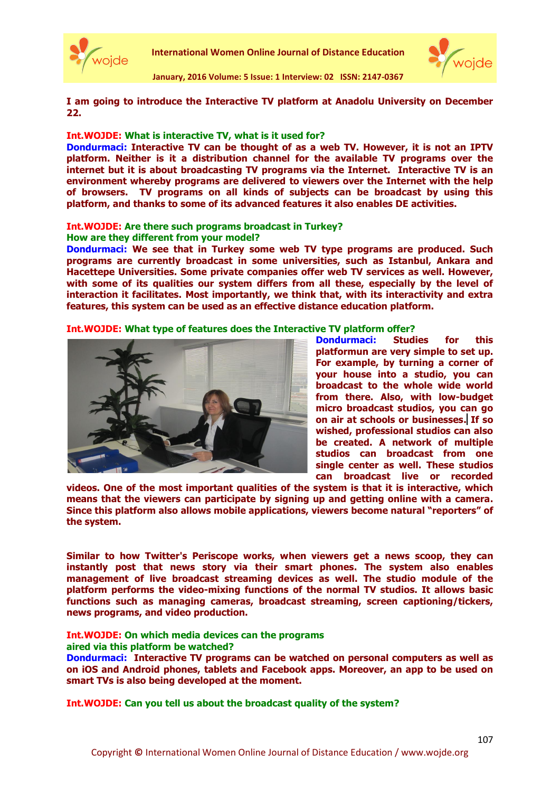



**I am going to introduce the Interactive TV platform at Anadolu University on December 22.**

## **Int.WOJDE: What is interactive TV, what is it used for?**

**Dondurmaci: Interactive TV can be thought of as a web TV. However, it is not an IPTV platform. Neither is it a distribution channel for the available TV programs over the internet but it is about broadcasting TV programs via the Internet. Interactive TV is an environment whereby programs are delivered to viewers over the Internet with the help of browsers. TV programs on all kinds of subjects can be broadcast by using this platform, and thanks to some of its advanced features it also enables DE activities.**

## **Int.WOJDE: Are there such programs broadcast in Turkey?**

#### **How are they different from your model?**

**Dondurmaci: We see that in Turkey some web TV type programs are produced. Such programs are currently broadcast in some universities, such as Istanbul, Ankara and Hacettepe Universities. Some private companies offer web TV services as well. However, with some of its qualities our system differs from all these, especially by the level of interaction it facilitates. Most importantly, we think that, with its interactivity and extra features, this system can be used as an effective distance education platform.**

**Int.WOJDE: What type of features does the Interactive TV platform offer?**



**Dondurmaci: Studies for this platformun are very simple to set up. For example, by turning a corner of your house into a studio, you can broadcast to the whole wide world from there. Also, with low-budget micro broadcast studios, you can go on air at schools or businesses. If so wished, professional studios can also be created. A network of multiple studios can broadcast from one single center as well. These studios can broadcast live or recorded** 

**videos. One of the most important qualities of the system is that it is interactive, which means that the viewers can participate by signing up and getting online with a camera. Since this platform also allows mobile applications, viewers become natural "reporters" of the system.** 

**Similar to how Twitter's Periscope works, when viewers get a news scoop, they can instantly post that news story via their smart phones. The system also enables management of live broadcast streaming devices as well. The studio module of the platform performs the video-mixing functions of the normal TV studios. It allows basic functions such as managing cameras, broadcast streaming, screen captioning/tickers, news programs, and video production.** 

# **Int.WOJDE: On which media devices can the programs**

**aired via this platform be watched?**

**Dondurmaci: Interactive TV programs can be watched on personal computers as well as on iOS and Android phones, tablets and Facebook apps. Moreover, an app to be used on smart TVs is also being developed at the moment.**

**Int.WOJDE: Can you tell us about the broadcast quality of the system?**